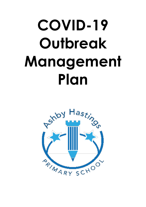# COVID-19 **Outbreak** Management Plan

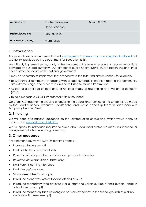| <b>Approved by:</b> | Rachel Mckeown<br>Head of School | <b>Date: 31.7.21</b> |
|---------------------|----------------------------------|----------------------|
| Last reviewed on:   | January 2022                     |                      |
| Next review due by: | <b>March 2022</b>                |                      |

# 1. Introduction

This plan is based on the thresholds and contingency framework for managing local outbreaks of COVID-19, provided by the Department for Education (DfE).

We will only implement some, or all, of the measures in this plan in response to recommendations provided by our local authority (LA), director of public health (DsPH), Public Health England (PHE) health protection team or the national government.

It may be necessary to implement these measures in the following circumstances, for example:

- To support our community in dealing with a local outbreak if infection rates in the community are extremely high, and other measures have failed to reduce transmission
- As part of a package of local and/ or national measures responding to a 'variant of concern' (VoC)
- To help manage a COVID-19 outbreak within the school

Outbreak Management plans and changes to the operational running of the school will be made by the Head of School, Executive Headteacher and Senior Leadership team, in partnership with Symphony Learning Trust.

# 2. Shielding

We will adhere to national guidance on the reintroduction of shielding, which would apply to those on the shielded patient list (SPL).

We will speak to individuals required to shield about additional protective measures in school or arrangements for home working or learning.

# 3. Other measures

If recommended, we will (with limited time frames):

- Increased testing by staff
- Limit residential educational visits
- Revert to virtual open days and visits from prospective families.
- Revert to virtual transition or taster days
- Limit Parents coming into school
- Limit Live performances
- Virtual assemblies for all pupils
- Introduce a one-way system for drop off and pick up.
- Introduce mandatory face coverings for all staff and visitors outside of their bubble (class) in school (unless exempt)
- Introduce mandatory face coverings to be worn by parents in the school grounds at pick up and drop off (unless exempt).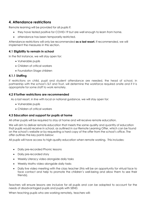# 4. Attendance restrictions

Remote learning will be provided for all pupils if:

- they have tested positive for COVID-19 but are well enough to learn from home.
- attendance has been temporarily restricted.

Attendance restrictions will only be recommended as a last resort. If recommended, we will implement the measures in this section.

#### 4.1 Eligibility to remain in school

In the first instance, we will stay open for:

- Vulnerable pupils
- Children of critical workers
- Foundation Stage children

#### 4.1.1 Staffing

If restrictions on child, pupil and student attendance are needed, the head of school, in partnership with the school's SLT and Trust, will determine the workforce required onsite and if it is appropriate for some staff to work remotely.

#### 4.2 If further restrictions are recommended

As a last resort, in line with local or national guidance, we will stay open for:

- Vulnerable pupils
- Children of critical workers

#### 4.3 Education and support for pupils at home

All other pupils will be required to stay at home and will receive remote education.

We will aim to deliver remote education that meets the same quality and quantity of education that pupils would receive in school, as outlined in our Remote Learning Offer, which can be found on the school's website or by requesting a hard copy of the offer from the school's office. The offer outlines the key points below:

All pupils will have access to high-quality education when remote working. This includes:

- Daily pre-recorded Phonic lessons
- Daily pre-recorded story
- Weekly Literacy video alongside daily tasks
- Weekly Maths video alongside daily tasks
- Daily live video meeting with the class teacher (this will be an opportunity for virtual face to face contact and help to promote the children's well-being and allow them to see their friends).

Teachers will ensure lessons are inclusive for all pupils and can be adapted to account for the needs of disadvantaged pupils and pupils with SEND.

When teaching pupils who are working remotely, teachers will: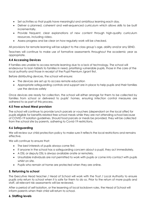- Set activities so that pupils have meaningful and ambitious learning each day.
- Deliver a planned, coherent and well-sequenced curriculum which allows skills to be built incrementally.
- Provide frequent, clear explanations of new content through high-quality curriculum resources, including video.
- Assess progress and be clear on how regularly work will be checked.

All provisions for remote learning will be subject to the class group's age, ability and/or any SEND.

Teachers will continue to make use of formative assessments throughout the academic year as appropriate.

## 4.4 Accessing Devices

If families are unable to access remote learning due to a lack of technology. The school will endeavour to loan tablets to families in need, prioritising vulnerable pupils, those in the care of the local authority and those in receipt of the Pupil Premium /grant first.

Before distributing devices, the school will ensure:

- The devices are set up to access remote education
- Appropriate safeguarding controls and support are in place to help pupils and their families use the devices safely

Once devices are ready for collection, the school will either arrange for them to be collected by families from school or delivered to pupils' homes, ensuring infection control measures are adhered to as part of this process.

#### 4.5 Free school Meal provision

The school will continue to provide lunch parcels or vouchers (dependant on the local offer) for pupils eligible for benefits-related free school meals while they are not attending school because of COVID-19 isolation guidelines. Should food parcels or meals be provided, they will be collected from the school site by parents, adhering to Covid-19 restrictions.

## 4.6 Safeguarding

We will review our child protection policy to make sure it reflects the local restrictions and remains effective.

We will continue to ensure that:

- The best interests of pupils always come first.
- If anyone in the school has a safeguarding concern about a pupil, they act immediately.
- A DSL or deputy DSL is always available onsite or remotely.
- Unsuitable individuals are not permitted to work with pupils or come into contact with pupils whilst on site.
- Pupils who remain at home are protected when they are online.

## 5. Returning to school

The Executive Head teacher / Head of School will work with the Trust / Local Authority to ensure pupils only return to school when it is safe for them to do so. Prior to the return of more pupils and staff, all relevant risk assessments will be reviewed.

After a period of self-isolation, or the lessening of local lockdown rules, the Head of School will inform parents when their child will return to school.

## 6. Staffing levels